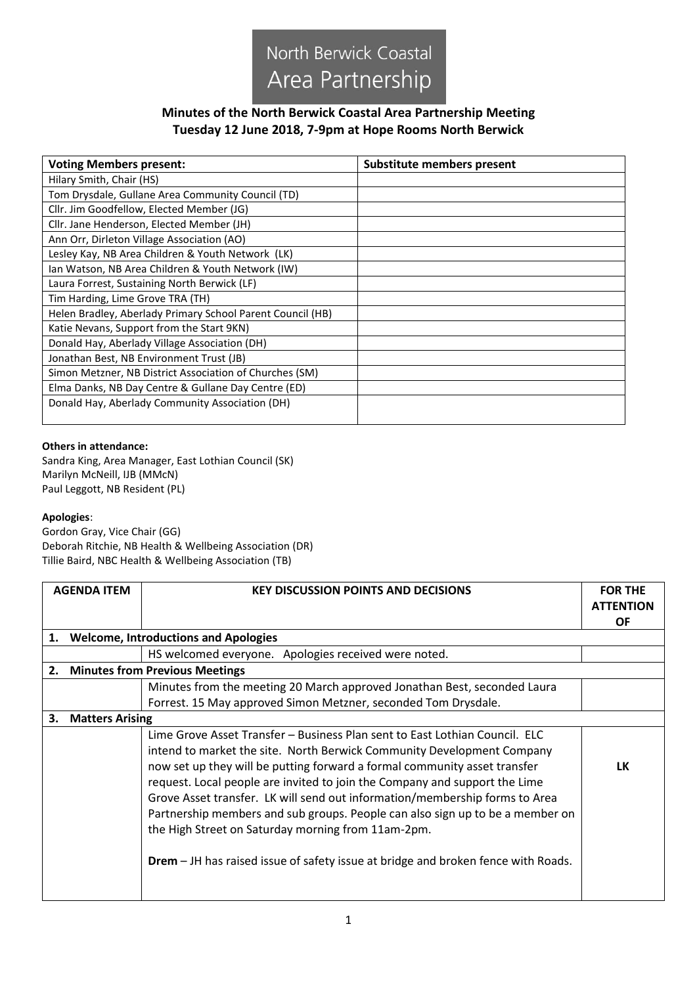

## **Minutes of the North Berwick Coastal Area Partnership Meeting Tuesday 12 June 2018, 7-9pm at Hope Rooms North Berwick**

| <b>Voting Members present:</b>                             | Substitute members present |
|------------------------------------------------------------|----------------------------|
| Hilary Smith, Chair (HS)                                   |                            |
| Tom Drysdale, Gullane Area Community Council (TD)          |                            |
| Cllr. Jim Goodfellow, Elected Member (JG)                  |                            |
| Cllr. Jane Henderson, Elected Member (JH)                  |                            |
| Ann Orr, Dirleton Village Association (AO)                 |                            |
| Lesley Kay, NB Area Children & Youth Network (LK)          |                            |
| Ian Watson, NB Area Children & Youth Network (IW)          |                            |
| Laura Forrest, Sustaining North Berwick (LF)               |                            |
| Tim Harding, Lime Grove TRA (TH)                           |                            |
| Helen Bradley, Aberlady Primary School Parent Council (HB) |                            |
| Katie Nevans, Support from the Start 9KN)                  |                            |
| Donald Hay, Aberlady Village Association (DH)              |                            |
| Jonathan Best, NB Environment Trust (JB)                   |                            |
| Simon Metzner, NB District Association of Churches (SM)    |                            |
| Elma Danks, NB Day Centre & Gullane Day Centre (ED)        |                            |
| Donald Hay, Aberlady Community Association (DH)            |                            |

## **Others in attendance:**

Sandra King, Area Manager, East Lothian Council (SK) Marilyn McNeill, IJB (MMcN) Paul Leggott, NB Resident (PL)

## **Apologies**:

Gordon Gray, Vice Chair (GG) Deborah Ritchie, NB Health & Wellbeing Association (DR) Tillie Baird, NBC Health & Wellbeing Association (TB)

|                                             | <b>AGENDA ITEM</b>     | <b>KEY DISCUSSION POINTS AND DECISIONS</b>                                                                                                            | <b>FOR THE</b><br><b>ATTENTION</b> |
|---------------------------------------------|------------------------|-------------------------------------------------------------------------------------------------------------------------------------------------------|------------------------------------|
|                                             |                        |                                                                                                                                                       | <b>OF</b>                          |
| 1.                                          |                        | <b>Welcome, Introductions and Apologies</b>                                                                                                           |                                    |
|                                             |                        | HS welcomed everyone. Apologies received were noted.                                                                                                  |                                    |
| <b>Minutes from Previous Meetings</b><br>2. |                        |                                                                                                                                                       |                                    |
|                                             |                        | Minutes from the meeting 20 March approved Jonathan Best, seconded Laura                                                                              |                                    |
|                                             |                        | Forrest. 15 May approved Simon Metzner, seconded Tom Drysdale.                                                                                        |                                    |
| 3.                                          | <b>Matters Arising</b> |                                                                                                                                                       |                                    |
|                                             |                        | Lime Grove Asset Transfer - Business Plan sent to East Lothian Council. ELC<br>intend to market the site. North Berwick Community Development Company |                                    |
|                                             |                        | now set up they will be putting forward a formal community asset transfer                                                                             | LK                                 |
|                                             |                        | request. Local people are invited to join the Company and support the Lime                                                                            |                                    |
|                                             |                        | Grove Asset transfer. LK will send out information/membership forms to Area                                                                           |                                    |
|                                             |                        | Partnership members and sub groups. People can also sign up to be a member on                                                                         |                                    |
|                                             |                        | the High Street on Saturday morning from 11am-2pm.                                                                                                    |                                    |
|                                             |                        | <b>Drem</b> – JH has raised issue of safety issue at bridge and broken fence with Roads.                                                              |                                    |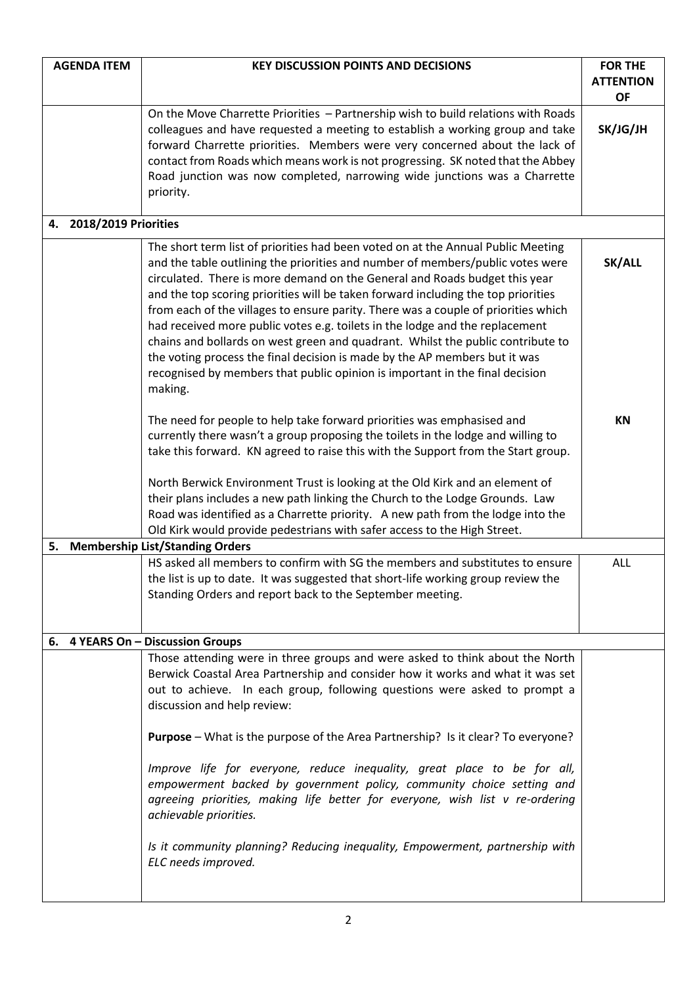| <b>AGENDA ITEM</b>         | <b>KEY DISCUSSION POINTS AND DECISIONS</b>                                                                                                                                                                                                                                                                                                                                                                                                                                                                                                                                                                                                                                                                                                                              | <b>FOR THE</b><br><b>ATTENTION</b><br><b>OF</b> |
|----------------------------|-------------------------------------------------------------------------------------------------------------------------------------------------------------------------------------------------------------------------------------------------------------------------------------------------------------------------------------------------------------------------------------------------------------------------------------------------------------------------------------------------------------------------------------------------------------------------------------------------------------------------------------------------------------------------------------------------------------------------------------------------------------------------|-------------------------------------------------|
|                            | On the Move Charrette Priorities - Partnership wish to build relations with Roads<br>colleagues and have requested a meeting to establish a working group and take<br>forward Charrette priorities. Members were very concerned about the lack of<br>contact from Roads which means work is not progressing. SK noted that the Abbey<br>Road junction was now completed, narrowing wide junctions was a Charrette<br>priority.                                                                                                                                                                                                                                                                                                                                          | SK/JG/JH                                        |
| 2018/2019 Priorities<br>4. |                                                                                                                                                                                                                                                                                                                                                                                                                                                                                                                                                                                                                                                                                                                                                                         |                                                 |
|                            | The short term list of priorities had been voted on at the Annual Public Meeting<br>and the table outlining the priorities and number of members/public votes were<br>circulated. There is more demand on the General and Roads budget this year<br>and the top scoring priorities will be taken forward including the top priorities<br>from each of the villages to ensure parity. There was a couple of priorities which<br>had received more public votes e.g. toilets in the lodge and the replacement<br>chains and bollards on west green and quadrant. Whilst the public contribute to<br>the voting process the final decision is made by the AP members but it was<br>recognised by members that public opinion is important in the final decision<br>making. | SK/ALL                                          |
|                            | The need for people to help take forward priorities was emphasised and<br>currently there wasn't a group proposing the toilets in the lodge and willing to<br>take this forward. KN agreed to raise this with the Support from the Start group.<br>North Berwick Environment Trust is looking at the Old Kirk and an element of<br>their plans includes a new path linking the Church to the Lodge Grounds. Law<br>Road was identified as a Charrette priority. A new path from the lodge into the<br>Old Kirk would provide pedestrians with safer access to the High Street.                                                                                                                                                                                          | <b>KN</b>                                       |
| 5.                         | <b>Membership List/Standing Orders</b>                                                                                                                                                                                                                                                                                                                                                                                                                                                                                                                                                                                                                                                                                                                                  |                                                 |
|                            | HS asked all members to confirm with SG the members and substitutes to ensure<br>the list is up to date. It was suggested that short-life working group review the<br>Standing Orders and report back to the September meeting.                                                                                                                                                                                                                                                                                                                                                                                                                                                                                                                                         | <b>ALL</b>                                      |
|                            | 6. 4 YEARS On - Discussion Groups                                                                                                                                                                                                                                                                                                                                                                                                                                                                                                                                                                                                                                                                                                                                       |                                                 |
|                            | Those attending were in three groups and were asked to think about the North<br>Berwick Coastal Area Partnership and consider how it works and what it was set<br>out to achieve. In each group, following questions were asked to prompt a<br>discussion and help review:<br>Purpose - What is the purpose of the Area Partnership? Is it clear? To everyone?                                                                                                                                                                                                                                                                                                                                                                                                          |                                                 |
|                            | Improve life for everyone, reduce inequality, great place to be for all,<br>empowerment backed by government policy, community choice setting and<br>agreeing priorities, making life better for everyone, wish list v re-ordering<br>achievable priorities.                                                                                                                                                                                                                                                                                                                                                                                                                                                                                                            |                                                 |
|                            | Is it community planning? Reducing inequality, Empowerment, partnership with<br>ELC needs improved.                                                                                                                                                                                                                                                                                                                                                                                                                                                                                                                                                                                                                                                                     |                                                 |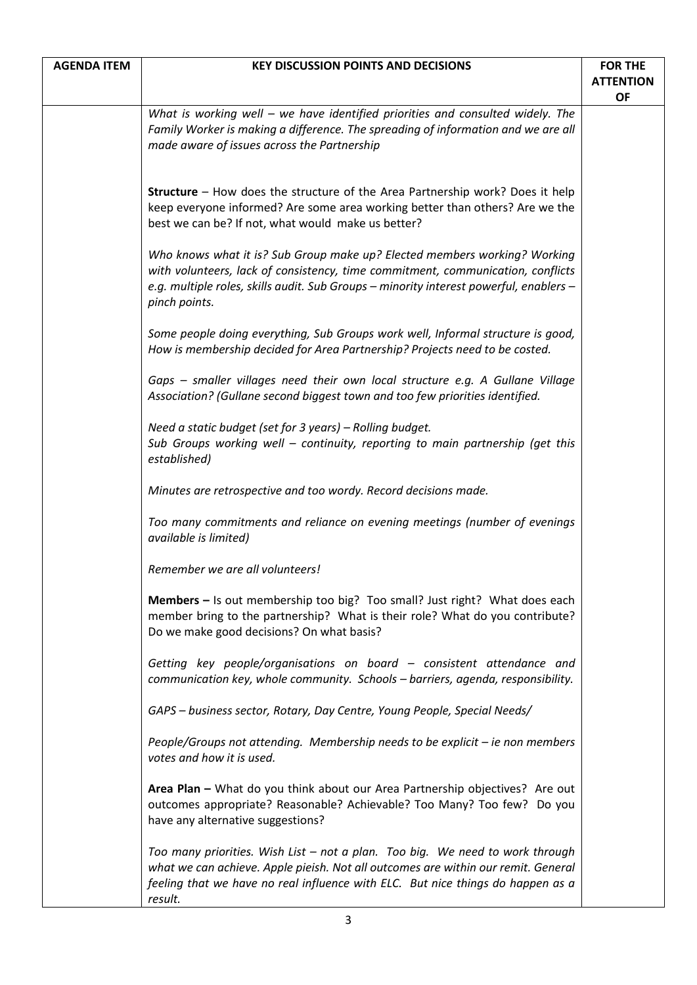| <b>AGENDA ITEM</b> | <b>KEY DISCUSSION POINTS AND DECISIONS</b>                                                                                                                                                                                                                              | <b>FOR THE</b>                |
|--------------------|-------------------------------------------------------------------------------------------------------------------------------------------------------------------------------------------------------------------------------------------------------------------------|-------------------------------|
|                    |                                                                                                                                                                                                                                                                         | <b>ATTENTION</b><br><b>OF</b> |
|                    | What is working well - we have identified priorities and consulted widely. The<br>Family Worker is making a difference. The spreading of information and we are all<br>made aware of issues across the Partnership                                                      |                               |
|                    | <b>Structure</b> – How does the structure of the Area Partnership work? Does it help<br>keep everyone informed? Are some area working better than others? Are we the<br>best we can be? If not, what would make us better?                                              |                               |
|                    | Who knows what it is? Sub Group make up? Elected members working? Working<br>with volunteers, lack of consistency, time commitment, communication, conflicts<br>e.g. multiple roles, skills audit. Sub Groups - minority interest powerful, enablers -<br>pinch points. |                               |
|                    | Some people doing everything, Sub Groups work well, Informal structure is good,<br>How is membership decided for Area Partnership? Projects need to be costed.                                                                                                          |                               |
|                    | Gaps - smaller villages need their own local structure e.g. A Gullane Village<br>Association? (Gullane second biggest town and too few priorities identified.                                                                                                           |                               |
|                    | Need a static budget (set for 3 years) - Rolling budget.<br>Sub Groups working well - continuity, reporting to main partnership (get this<br>established)                                                                                                               |                               |
|                    | Minutes are retrospective and too wordy. Record decisions made.                                                                                                                                                                                                         |                               |
|                    | Too many commitments and reliance on evening meetings (number of evenings<br>available is limited)                                                                                                                                                                      |                               |
|                    | Remember we are all volunteers!                                                                                                                                                                                                                                         |                               |
|                    | Members – Is out membership too big? Too small? Just right? What does each<br>member bring to the partnership? What is their role? What do you contribute?<br>Do we make good decisions? On what basis?                                                                 |                               |
|                    | Getting key people/organisations on board – consistent attendance and<br>communication key, whole community. Schools - barriers, agenda, responsibility.                                                                                                                |                               |
|                    | GAPS - business sector, Rotary, Day Centre, Young People, Special Needs/                                                                                                                                                                                                |                               |
|                    | People/Groups not attending. Membership needs to be explicit - ie non members<br>votes and how it is used.                                                                                                                                                              |                               |
|                    | Area Plan - What do you think about our Area Partnership objectives? Are out<br>outcomes appropriate? Reasonable? Achievable? Too Many? Too few? Do you<br>have any alternative suggestions?                                                                            |                               |
|                    | Too many priorities. Wish List – not a plan. Too big. We need to work through<br>what we can achieve. Apple pieish. Not all outcomes are within our remit. General<br>feeling that we have no real influence with ELC. But nice things do happen as a<br>result.        |                               |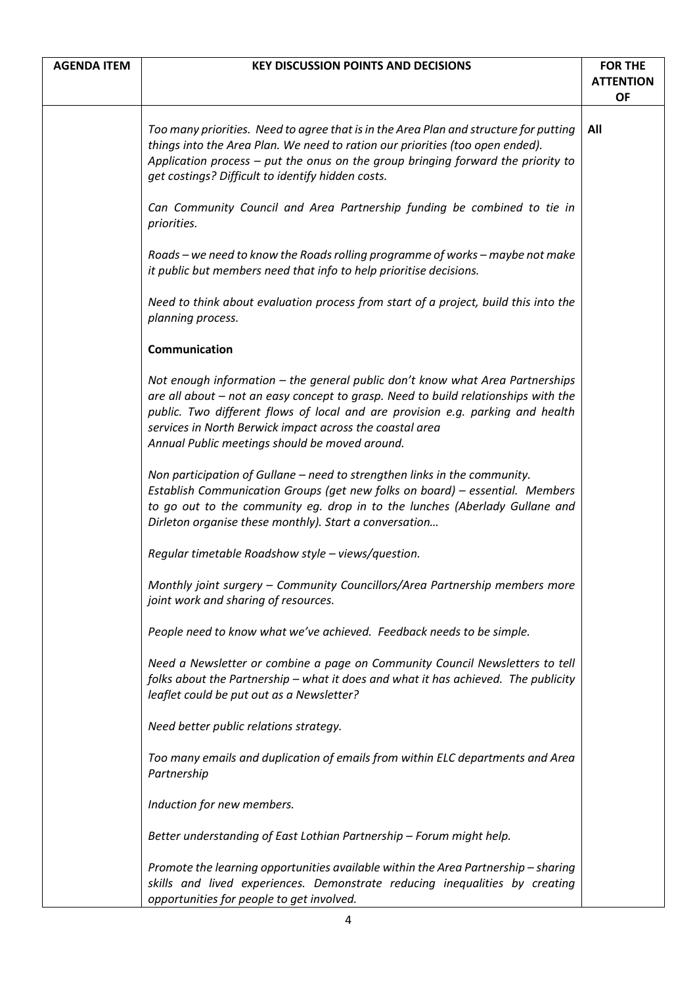| <b>AGENDA ITEM</b> | <b>KEY DISCUSSION POINTS AND DECISIONS</b>                                                                                                                                                                                                                                                                                                                          | <b>FOR THE</b><br><b>ATTENTION</b><br><b>OF</b> |
|--------------------|---------------------------------------------------------------------------------------------------------------------------------------------------------------------------------------------------------------------------------------------------------------------------------------------------------------------------------------------------------------------|-------------------------------------------------|
|                    | Too many priorities. Need to agree that is in the Area Plan and structure for putting<br>things into the Area Plan. We need to ration our priorities (too open ended).<br>Application process $-$ put the onus on the group bringing forward the priority to<br>get costings? Difficult to identify hidden costs.                                                   | All                                             |
|                    | Can Community Council and Area Partnership funding be combined to tie in<br>priorities.                                                                                                                                                                                                                                                                             |                                                 |
|                    | Roads – we need to know the Roads rolling programme of works – maybe not make<br>it public but members need that info to help prioritise decisions.                                                                                                                                                                                                                 |                                                 |
|                    | Need to think about evaluation process from start of a project, build this into the<br>planning process.                                                                                                                                                                                                                                                            |                                                 |
|                    | Communication                                                                                                                                                                                                                                                                                                                                                       |                                                 |
|                    | Not enough information – the general public don't know what Area Partnerships<br>are all about - not an easy concept to grasp. Need to build relationships with the<br>public. Two different flows of local and are provision e.g. parking and health<br>services in North Berwick impact across the coastal area<br>Annual Public meetings should be moved around. |                                                 |
|                    | Non participation of Gullane - need to strengthen links in the community.<br>Establish Communication Groups (get new folks on board) - essential. Members<br>to go out to the community eg. drop in to the lunches (Aberlady Gullane and<br>Dirleton organise these monthly). Start a conversation                                                                  |                                                 |
|                    | Regular timetable Roadshow style - views/question.                                                                                                                                                                                                                                                                                                                  |                                                 |
|                    | Monthly joint surgery – Community Councillors/Area Partnership members more<br>joint work and sharing of resources.                                                                                                                                                                                                                                                 |                                                 |
|                    | People need to know what we've achieved. Feedback needs to be simple.                                                                                                                                                                                                                                                                                               |                                                 |
|                    | Need a Newsletter or combine a page on Community Council Newsletters to tell<br>folks about the Partnership - what it does and what it has achieved. The publicity<br>leaflet could be put out as a Newsletter?                                                                                                                                                     |                                                 |
|                    | Need better public relations strategy.                                                                                                                                                                                                                                                                                                                              |                                                 |
|                    | Too many emails and duplication of emails from within ELC departments and Area<br>Partnership                                                                                                                                                                                                                                                                       |                                                 |
|                    | Induction for new members.                                                                                                                                                                                                                                                                                                                                          |                                                 |
|                    | Better understanding of East Lothian Partnership - Forum might help.                                                                                                                                                                                                                                                                                                |                                                 |
|                    | Promote the learning opportunities available within the Area Partnership - sharing<br>skills and lived experiences. Demonstrate reducing inequalities by creating<br>opportunities for people to get involved.                                                                                                                                                      |                                                 |